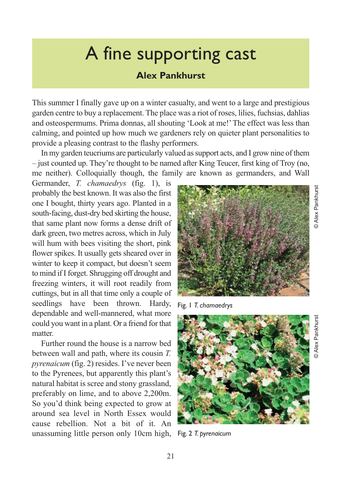## A fine supporting cast

## **Alex Pankhurst**

This summer I finally gave up on a winter casualty, and went to a large and prestigious garden centre to buy a replacement. The place was a riot of roses, lilies, fuchsias, dahlias and osteospermums. Prima donnas, all shouting 'Look at me!' The effect was less than calming, and pointed up how much we gardeners rely on quieter plant personalities to provide a pleasing contrast to the flashy performers.

In my garden teucriums are particularly valued as support acts, and I grow nine of them – just counted up. They're thought to be named after King Teucer, first king of Troy (no, me neither). Colloquially though, the family are known as germanders, and Wall

Germander, *T. chamaedrys* (fig. 1), is probably the best known. It was also the first one I bought, thirty years ago. Planted in a south-facing, dust-dry bed skirting the house, that same plant now forms a dense drift of dark green, two metres across, which in July will hum with bees visiting the short, pink flower spikes. It usually gets sheared over in winter to keep it compact, but doesn't seem to mind if I forget. Shrugging off drought and freezing winters, it will root readily from cuttings, but in all that time only a couple of seedlings have been thrown. Hardy, dependable and well-mannered, what more could you want in a plant. Or a friend for that matter.

Further round the house is a narrow bed between wall and path, where its cousin *T. pyrenaicum* (fig. 2) resides. I've never been to the Pyrenees, but apparently this plant's natural habitat is scree and stony grassland, preferably on lime, and to above 2,200m. So you'd think being expected to grow at around sea level in North Essex would cause rebellion. Not a bit of it. An unassuming little person only 10cm high,



Fig. 1 *T. chamaedrys*



Fig. 2 *T. pyrenaicum*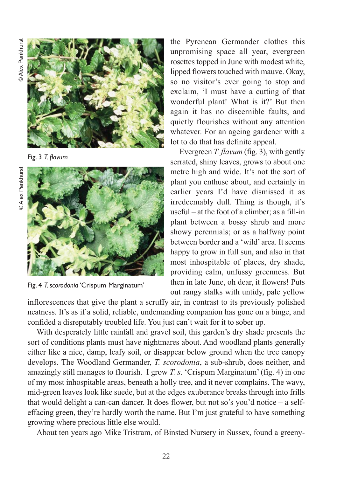

Fig. 3 *T. flavum*





Fig. 4 *T. scorodonia* 'Crispum Marginatum'

the Pyrenean Germander clothes this unpromising space all year, evergreen rosettes topped in June with modest white, lipped flowers touched with mauve. Okay, so no visitor's ever going to stop and exclaim, 'I must have a cutting of that wonderful plant! What is it?' But then again it has no discernible faults, and quietly flourishes without any attention whatever. For an ageing gardener with a lot to do that has definite appeal.

Evergreen *T. flavum* (fig. 3), with gently serrated, shiny leaves, grows to about one metre high and wide. It's not the sort of plant you enthuse about, and certainly in earlier years I'd have dismissed it as irredeemably dull. Thing is though, it's useful – at the foot of a climber; as a fill-in plant between a bossy shrub and more showy perennials; or as a halfway point between border and a 'wild' area. It seems happy to grow in full sun, and also in that most inhospitable of places, dry shade, providing calm, unfussy greenness. But then in late June, oh dear, it flowers! Puts out rangy stalks with untidy, pale yellow

inflorescences that give the plant a scruffy air, in contrast to its previously polished neatness. It's as if a solid, reliable, undemanding companion has gone on a binge, and confided a disreputably troubled life. You just can't wait for it to sober up.

With desperately little rainfall and gravel soil, this garden's dry shade presents the sort of conditions plants must have nightmares about. And woodland plants generally either like a nice, damp, leafy soil, or disappear below ground when the tree canopy develops. The Woodland Germander, *T. scorodonia*, a sub-shrub, does neither, and amazingly still manages to flourish. I grow *T. s*. 'Crispum Marginatum' (fig. 4) in one of my most inhospitable areas, beneath a holly tree, and it never complains. The wavy, mid-green leaves look like suede, but at the edges exuberance breaks through into frills that would delight a can-can dancer. It does flower, but not so's you'd notice – a selfeffacing green, they're hardly worth the name. But I'm just grateful to have something growing where precious little else would.

About ten years ago Mike Tristram, of Binsted Nursery in Sussex, found a greeny-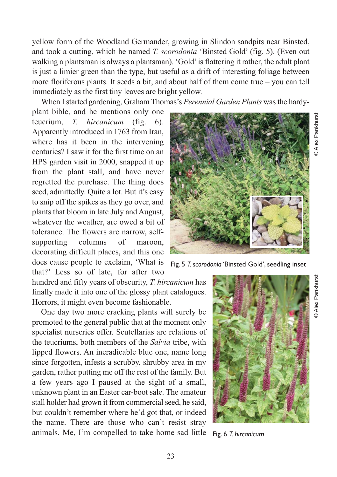yellow form of the Woodland Germander, growing in Slindon sandpits near Binsted, and took a cutting, which he named *T. scorodonia* 'Binsted Gold' (fig. 5). (Even out walking a plantsman is always a plantsman). 'Gold' is flattering it rather, the adult plant is just a limier green than the type, but useful as a drift of interesting foliage between more floriferous plants. It seeds a bit, and about half of them come true – you can tell immediately as the first tiny leaves are bright yellow.

When I started gardening, Graham Thomas's *Perennial Garden Plants* was the hardy-

plant bible, and he mentions only one teucrium, *T. hircanicum* (fig. 6). Apparently introduced in 1763 from Iran, where has it been in the intervening centuries? I saw it for the first time on an HPS garden visit in 2000, snapped it up from the plant stall, and have never regretted the purchase. The thing does seed, admittedly. Quite a lot. But it's easy to snip off the spikes as they go over, and plants that bloom in late July and August, whatever the weather, are owed a bit of tolerance. The flowers are narrow, selfsupporting columns of maroon, decorating difficult places, and this one does cause people to exclaim, 'What is that?' Less so of late, for after two

hundred and fifty years of obscurity, *T. hircanicum* has finally made it into one of the glossy plant catalogues. Horrors, it might even become fashionable.

One day two more cracking plants will surely be promoted to the general public that at the moment only specialist nurseries offer. Scutellarias are relations of the teucriums, both members of the *Salvia* tribe, with lipped flowers. An ineradicable blue one, name long since forgotten, infests a scrubby, shrubby area in my garden, rather putting me off the rest of the family. But a few years ago I paused at the sight of a small, unknown plant in an Easter car-boot sale. The amateur stall holder had grown it from commercial seed, he said, but couldn't remember where he'd got that, or indeed the name. There are those who can't resist stray animals. Me, I'm compelled to take home sad little



Fig. 5 *T. scorodonia* 'Binsted Gold', seedling inset



Fig. 6 *T. hircanicum*